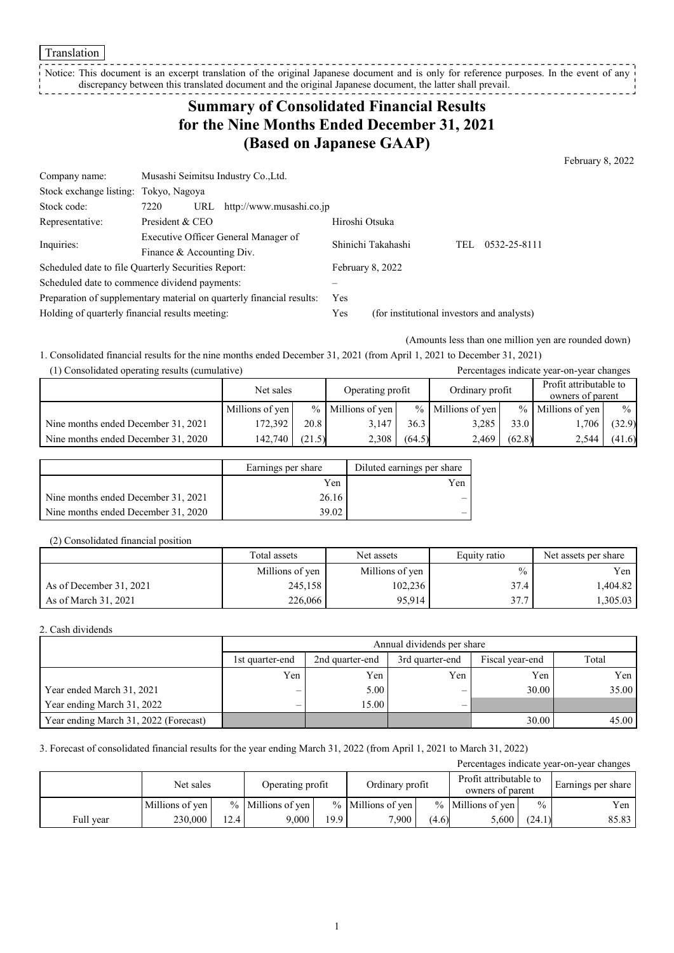Translation

Notice: This document is an excerpt translation of the original Japanese document and is only for reference purposes. In the event of any discrepancy between this translated document and the original Japanese document, the latter shall prevail. 

## **Summary of Consolidated Financial Results for the Nine Months Ended December 31, 2021 (Based on Japanese GAAP)**

February 8, 2022

| Company name:                                       |                                      | Musashi Seimitsu Industry Co., Ltd.                                   |                    |                                            |                     |  |
|-----------------------------------------------------|--------------------------------------|-----------------------------------------------------------------------|--------------------|--------------------------------------------|---------------------|--|
| Stock exchange listing:                             | Tokyo, Nagoya                        |                                                                       |                    |                                            |                     |  |
| Stock code:                                         | 7220<br>URL                          | http://www.musashi.co.jp                                              |                    |                                            |                     |  |
| Representative:                                     | President & CEO                      |                                                                       | Hiroshi Otsuka     |                                            |                     |  |
|                                                     | Executive Officer General Manager of |                                                                       | Shinichi Takahashi |                                            | 0532-25-8111<br>TEL |  |
| Inquiries:                                          | Finance & Accounting Div.            |                                                                       |                    |                                            |                     |  |
| Scheduled date to file Quarterly Securities Report: |                                      |                                                                       |                    | February 8, 2022                           |                     |  |
| Scheduled date to commence dividend payments:       |                                      |                                                                       |                    |                                            |                     |  |
|                                                     |                                      | Preparation of supplementary material on quarterly financial results: | Yes                |                                            |                     |  |
| Holding of quarterly financial results meeting:     |                                      |                                                                       | Yes                | (for institutional investors and analysts) |                     |  |

(Amounts less than one million yen are rounded down)

1. Consolidated financial results for the nine months ended December 31, 2021 (from April 1, 2021 to December 31, 2021)

| (1) Consolidated operating results (cumulative) |
|-------------------------------------------------|
|-------------------------------------------------|

| (1) Consolidated operating results (cumulative) |                 |        |                     |        |                     |        | Percentages indicate year-on-year changes  |               |
|-------------------------------------------------|-----------------|--------|---------------------|--------|---------------------|--------|--------------------------------------------|---------------|
|                                                 | Net sales       |        | Operating profit    |        | Ordinary profit     |        | Profit attributable to<br>owners of parent |               |
|                                                 | Millions of yen |        | $%$ Millions of yen |        | $%$ Millions of yen | $\%$   | Millions of yen                            | $\frac{0}{0}$ |
| Nine months ended December 31, 2021             | 172,392         | 20.8   | 3.147               | 36.3   | 3,285               | 33.0   | 1.706                                      | (32.9)        |
| Nine months ended December 31, 2020             | 142.740         | (21.5) | 2,308               | (64.5) | 2.469               | (62.8) | 2,544                                      | (41.6)        |

|                                     | Earnings per share | Diluted earnings per share |
|-------------------------------------|--------------------|----------------------------|
|                                     | Yen                | Yen                        |
| Nine months ended December 31, 2021 | 26.16              |                            |
| Nine months ended December 31, 2020 | 39.02              |                            |

#### (2) Consolidated financial position

|                         | Total assets    | Net assets      | Equity ratio | Net assets per share |
|-------------------------|-----------------|-----------------|--------------|----------------------|
|                         | Millions of yen | Millions of yen | $\%$         | Yen                  |
| As of December 31, 2021 | 245,158         | 102,236         | 37.4         | 1,404.82             |
| As of March 31, 2021    | 226,066         | 95.914          | 37.7         | .305.03              |

#### 2. Cash dividends

|                                       | Annual dividends per share |                 |                 |                 |       |  |  |
|---------------------------------------|----------------------------|-----------------|-----------------|-----------------|-------|--|--|
|                                       | 1st quarter-end            | 2nd quarter-end | 3rd quarter-end | Fiscal year-end | Total |  |  |
|                                       | Yen                        | Yen             | Yen             | Yen             | Yen   |  |  |
| Year ended March 31, 2021             | $\overline{\phantom{0}}$   | 5.00            | _               | 30.00           | 35.00 |  |  |
| Year ending March 31, 2022            | $\overline{\phantom{0}}$   | 15.00           |                 |                 |       |  |  |
| Year ending March 31, 2022 (Forecast) |                            |                 |                 | 30.00           | 45.00 |  |  |

#### 3. Forecast of consolidated financial results for the year ending March 31, 2022 (from April 1, 2021 to March 31, 2022)

| Percentages indicate year-on-year changes |                 |      |                     |                   |                     |       |                                            |               |       |                    |
|-------------------------------------------|-----------------|------|---------------------|-------------------|---------------------|-------|--------------------------------------------|---------------|-------|--------------------|
|                                           | Net sales       |      | Operating profit    |                   | Ordinary profit     |       | Profit attributable to<br>owners of parent |               |       | Earnings per share |
|                                           | Millions of yen |      | $%$ Millions of yen |                   | $%$ Millions of ven |       | $%$ Millions of yen                        | $\frac{0}{0}$ | Yen   |                    |
| Full year                                 | 230,000         | 12.4 | 9.000               | 19.9 <sub>1</sub> | 7.900               | (4.6) | 5,600                                      | (24.1)        | 85.83 |                    |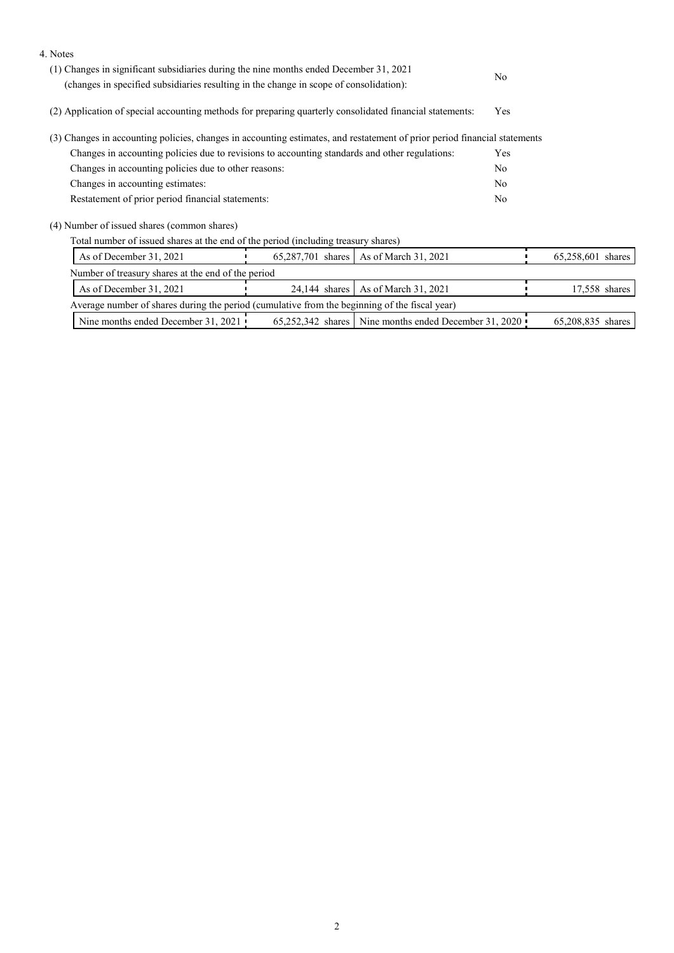| 4. Notes                                                                                                                                                                         |                                                                                                          |                                                       |                |                   |  |  |
|----------------------------------------------------------------------------------------------------------------------------------------------------------------------------------|----------------------------------------------------------------------------------------------------------|-------------------------------------------------------|----------------|-------------------|--|--|
| (1) Changes in significant subsidiaries during the nine months ended December 31, 2021<br>(changes in specified subsidiaries resulting in the change in scope of consolidation): | No.                                                                                                      |                                                       |                |                   |  |  |
|                                                                                                                                                                                  | (2) Application of special accounting methods for preparing quarterly consolidated financial statements: |                                                       |                |                   |  |  |
| (3) Changes in accounting policies, changes in accounting estimates, and restatement of prior period financial statements                                                        |                                                                                                          |                                                       |                |                   |  |  |
| Changes in accounting policies due to revisions to accounting standards and other regulations:                                                                                   |                                                                                                          |                                                       | Yes            |                   |  |  |
| Changes in accounting policies due to other reasons:                                                                                                                             |                                                                                                          |                                                       | N <sub>o</sub> |                   |  |  |
| Changes in accounting estimates:                                                                                                                                                 |                                                                                                          |                                                       | N <sub>o</sub> |                   |  |  |
| Restatement of prior period financial statements:                                                                                                                                |                                                                                                          |                                                       | N <sub>o</sub> |                   |  |  |
| (4) Number of issued shares (common shares)                                                                                                                                      |                                                                                                          |                                                       |                |                   |  |  |
| Total number of issued shares at the end of the period (including treasury shares)                                                                                               |                                                                                                          |                                                       |                |                   |  |  |
| As of December 31, 2021<br>65,287,701 shares<br>As of March 31, 2021                                                                                                             |                                                                                                          |                                                       |                | 65,258,601 shares |  |  |
| Number of treasury shares at the end of the period                                                                                                                               |                                                                                                          |                                                       |                |                   |  |  |
| As of December 31, 2021                                                                                                                                                          | $24,144$ shares                                                                                          | As of March 31, 2021                                  |                | 17,558 shares     |  |  |
| Average number of shares during the period (cumulative from the beginning of the fiscal year)                                                                                    |                                                                                                          |                                                       |                |                   |  |  |
| Nine months ended December 31, 2021                                                                                                                                              |                                                                                                          | 65,252,342 shares Nine months ended December 31, 2020 |                | 65,208,835 shares |  |  |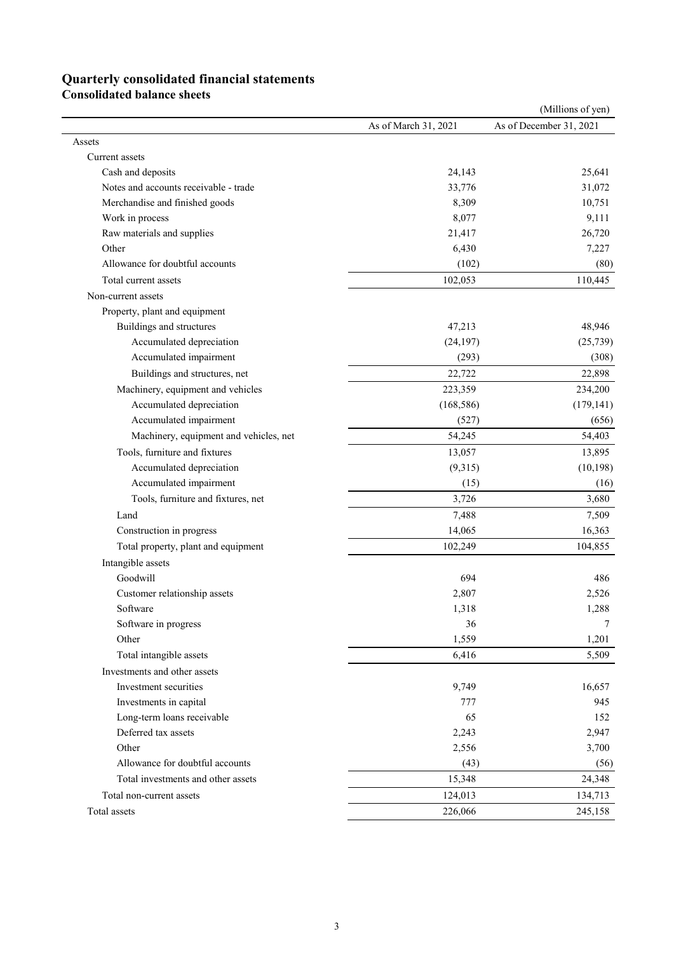# **Quarterly consolidated financial statements**

**Consolidated balance sheets** 

|                                        |                      | (Millions of yen)       |
|----------------------------------------|----------------------|-------------------------|
|                                        | As of March 31, 2021 | As of December 31, 2021 |
| Assets                                 |                      |                         |
| Current assets                         |                      |                         |
| Cash and deposits                      | 24,143               | 25,641                  |
| Notes and accounts receivable - trade  | 33,776               | 31,072                  |
| Merchandise and finished goods         | 8,309                | 10,751                  |
| Work in process                        | 8,077                | 9,111                   |
| Raw materials and supplies             | 21,417               | 26,720                  |
| Other                                  | 6,430                | 7,227                   |
| Allowance for doubtful accounts        | (102)                | (80)                    |
| Total current assets                   | 102,053              | 110,445                 |
| Non-current assets                     |                      |                         |
| Property, plant and equipment          |                      |                         |
| Buildings and structures               | 47,213               | 48,946                  |
| Accumulated depreciation               | (24, 197)            | (25, 739)               |
| Accumulated impairment                 | (293)                | (308)                   |
| Buildings and structures, net          | 22,722               | 22,898                  |
| Machinery, equipment and vehicles      | 223,359              | 234,200                 |
| Accumulated depreciation               | (168, 586)           | (179, 141)              |
| Accumulated impairment                 | (527)                | (656)                   |
| Machinery, equipment and vehicles, net | 54,245               | 54,403                  |
| Tools, furniture and fixtures          |                      |                         |
|                                        | 13,057               | 13,895                  |
| Accumulated depreciation               | (9,315)              | (10, 198)               |
| Accumulated impairment                 | (15)                 | (16)                    |
| Tools, furniture and fixtures, net     | 3,726                | 3,680                   |
| Land                                   | 7,488                | 7,509                   |
| Construction in progress               | 14,065               | 16,363                  |
| Total property, plant and equipment    | 102,249              | 104,855                 |
| Intangible assets                      |                      |                         |
| Goodwill                               | 694                  | 486                     |
| Customer relationship assets           | 2,807                | 2,526                   |
| Software                               | 1,318                | 1,288                   |
| Software in progress                   | 36                   | 7                       |
| Other                                  | 1,559                | 1,201                   |
| Total intangible assets                | 6,416                | 5,509                   |
| Investments and other assets           |                      |                         |
| Investment securities                  | 9,749                | 16,657                  |
| Investments in capital                 | 777                  | 945                     |
| Long-term loans receivable             | 65                   | 152                     |
| Deferred tax assets                    | 2,243                | 2,947                   |
| Other                                  | 2,556                | 3,700                   |
| Allowance for doubtful accounts        | (43)                 | (56)                    |
| Total investments and other assets     | 15,348               | 24,348                  |
| Total non-current assets               | 124,013              | 134,713                 |
| Total assets                           | 226,066              | 245,158                 |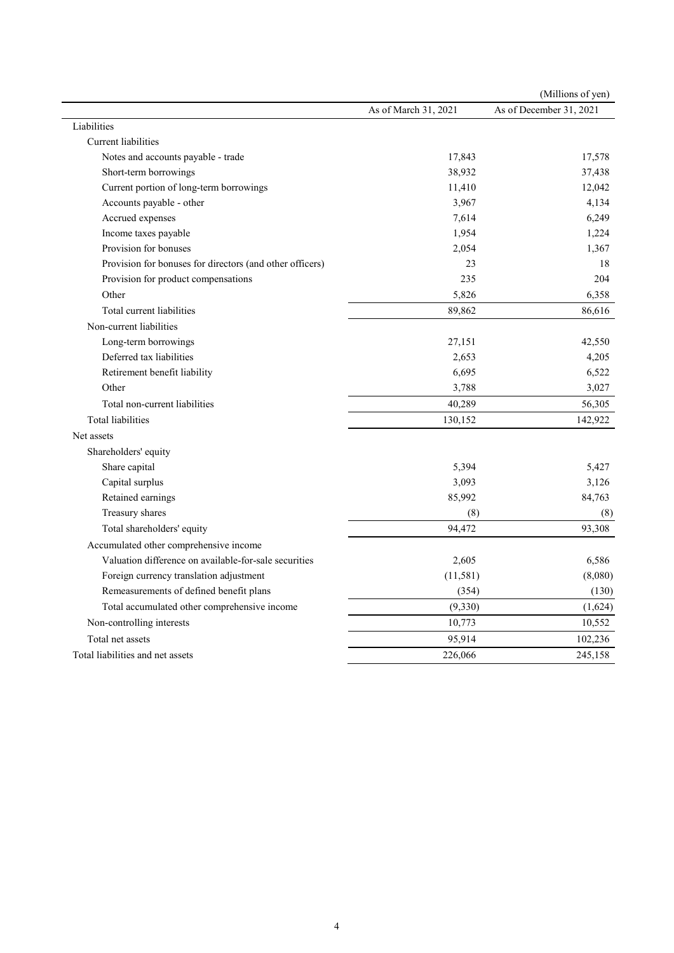|                                                          |                      | (Millions of yen)       |
|----------------------------------------------------------|----------------------|-------------------------|
|                                                          | As of March 31, 2021 | As of December 31, 2021 |
| Liabilities                                              |                      |                         |
| Current liabilities                                      |                      |                         |
| Notes and accounts payable - trade                       | 17,843               | 17,578                  |
| Short-term borrowings                                    | 38,932               | 37,438                  |
| Current portion of long-term borrowings                  | 11,410               | 12,042                  |
| Accounts payable - other                                 | 3,967                | 4,134                   |
| Accrued expenses                                         | 7,614                | 6,249                   |
| Income taxes payable                                     | 1,954                | 1,224                   |
| Provision for bonuses                                    | 2,054                | 1,367                   |
| Provision for bonuses for directors (and other officers) | 23                   | 18                      |
| Provision for product compensations                      | 235                  | 204                     |
| Other                                                    | 5,826                | 6,358                   |
| Total current liabilities                                | 89,862               | 86,616                  |
| Non-current liabilities                                  |                      |                         |
| Long-term borrowings                                     | 27,151               | 42,550                  |
| Deferred tax liabilities                                 | 2,653                | 4,205                   |
| Retirement benefit liability                             | 6,695                | 6,522                   |
| Other                                                    | 3,788                | 3,027                   |
| Total non-current liabilities                            | 40,289               | 56,305                  |
| <b>Total liabilities</b>                                 | 130,152              | 142,922                 |
| Net assets                                               |                      |                         |
| Shareholders' equity                                     |                      |                         |
| Share capital                                            | 5,394                | 5,427                   |
| Capital surplus                                          | 3,093                | 3,126                   |
| Retained earnings                                        | 85,992               | 84,763                  |
| Treasury shares                                          | (8)                  | (8)                     |
| Total shareholders' equity                               | 94,472               | 93,308                  |
| Accumulated other comprehensive income                   |                      |                         |
| Valuation difference on available-for-sale securities    | 2,605                | 6,586                   |
| Foreign currency translation adjustment                  | (11,581)             | (8,080)                 |
| Remeasurements of defined benefit plans                  | (354)                | (130)                   |
| Total accumulated other comprehensive income             | (9, 330)             | (1,624)                 |
| Non-controlling interests                                | 10,773               | 10,552                  |
| Total net assets                                         | 95,914               | 102,236                 |
| Total liabilities and net assets                         | 226,066              | 245,158                 |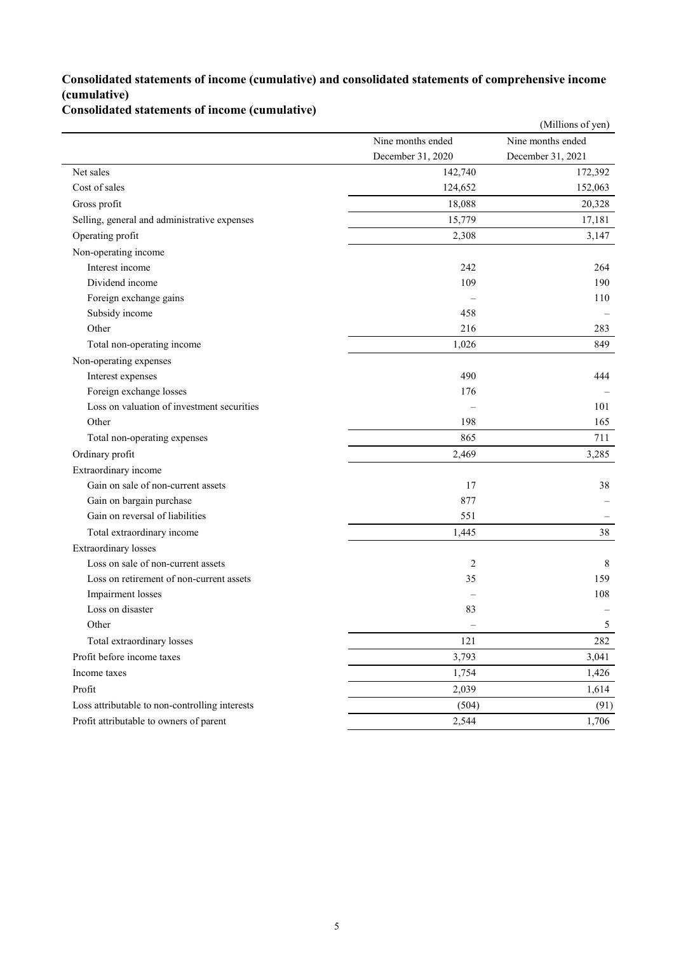### **Consolidated statements of income (cumulative) and consolidated statements of comprehensive income (cumulative)**

**Consolidated statements of income (cumulative)**

|                                                |                   | (Millions of yen) |
|------------------------------------------------|-------------------|-------------------|
|                                                | Nine months ended | Nine months ended |
|                                                | December 31, 2020 | December 31, 2021 |
| Net sales                                      | 142,740           | 172,392           |
| Cost of sales                                  | 124,652           | 152,063           |
| Gross profit                                   | 18,088            | 20,328            |
| Selling, general and administrative expenses   | 15,779            | 17,181            |
| Operating profit                               | 2,308             | 3,147             |
| Non-operating income                           |                   |                   |
| Interest income                                | 242               | 264               |
| Dividend income                                | 109               | 190               |
| Foreign exchange gains                         |                   | 110               |
| Subsidy income                                 | 458               |                   |
| Other                                          | 216               | 283               |
| Total non-operating income                     | 1,026             | 849               |
| Non-operating expenses                         |                   |                   |
| Interest expenses                              | 490               | 444               |
| Foreign exchange losses                        | 176               |                   |
| Loss on valuation of investment securities     |                   | 101               |
| Other                                          | 198               | 165               |
| Total non-operating expenses                   | 865               | 711               |
| Ordinary profit                                | 2,469             | 3,285             |
| Extraordinary income                           |                   |                   |
| Gain on sale of non-current assets             | 17                | 38                |
| Gain on bargain purchase                       | 877               |                   |
| Gain on reversal of liabilities                | 551               |                   |
| Total extraordinary income                     | 1,445             | 38                |
| Extraordinary losses                           |                   |                   |
| Loss on sale of non-current assets             | $\overline{2}$    | 8                 |
| Loss on retirement of non-current assets       | 35                | 159               |
| Impairment losses                              |                   | 108               |
| Loss on disaster                               | 83                |                   |
| Other                                          |                   | 5                 |
| Total extraordinary losses                     | 121               | 282               |
| Profit before income taxes                     | 3,793             | 3,041             |
| Income taxes                                   | 1,754             | 1,426             |
| Profit                                         | 2,039             | 1,614             |
| Loss attributable to non-controlling interests | (504)             | (91)              |
| Profit attributable to owners of parent        | 2,544             | 1,706             |